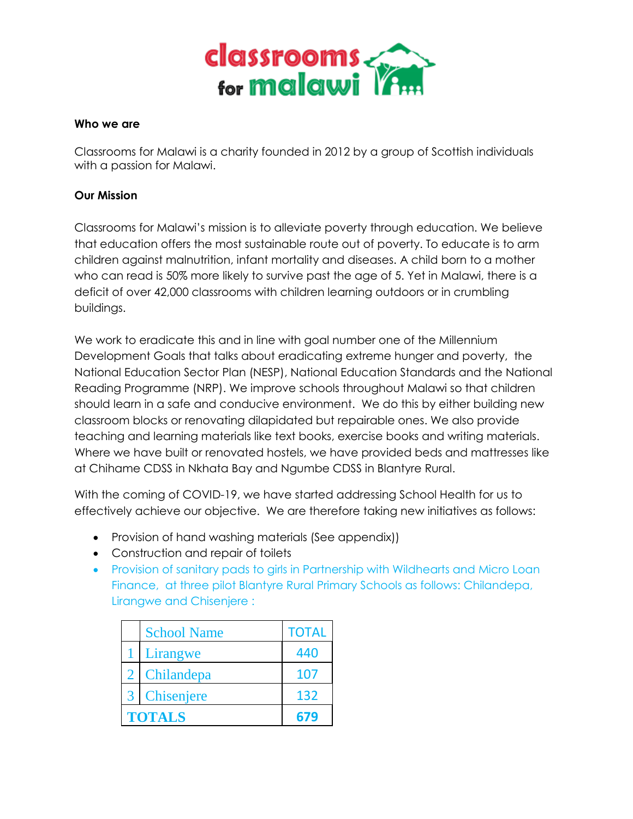

#### **Who we are**

Classrooms for Malawi is a charity founded in 2012 by a group of Scottish individuals with a passion for Malawi.

## **Our Mission**

Classrooms for Malawi's mission is to alleviate poverty through education. We believe that education offers the most sustainable route out of poverty. To educate is to arm children against malnutrition, infant mortality and diseases. A child born to a mother who can read is 50% more likely to survive past the age of 5. Yet in Malawi, there is a deficit of over 42,000 classrooms with children learning outdoors or in crumbling buildings.

We work to eradicate this and in line with goal number one of the Millennium Development Goals that talks about eradicating extreme hunger and poverty, the National Education Sector Plan (NESP), National Education Standards and the National Reading Programme (NRP). We improve schools throughout Malawi so that children should learn in a safe and conducive environment. We do this by either building new classroom blocks or renovating dilapidated but repairable ones. We also provide teaching and learning materials like text books, exercise books and writing materials. Where we have built or renovated hostels, we have provided beds and mattresses like at Chihame CDSS in Nkhata Bay and Ngumbe CDSS in Blantyre Rural.

With the coming of COVID-19, we have started addressing School Health for us to effectively achieve our objective. We are therefore taking new initiatives as follows:

- Provision of hand washing materials (See appendix))
- Construction and repair of toilets
- Provision of sanitary pads to girls in Partnership with Wildhearts and Micro Loan Finance, at three pilot Blantyre Rural Primary Schools as follows: Chilandepa, Lirangwe and Chisenjere :

|                | <b>School Name</b>   | <b>TOTAL</b> |  |  |  |  |
|----------------|----------------------|--------------|--|--|--|--|
|                | Lirangwe             | 440          |  |  |  |  |
| $\overline{2}$ | Chilandepa           | 107          |  |  |  |  |
| 3 <sup>1</sup> | Chisenjere           | 132          |  |  |  |  |
|                | <b>TOTALS</b><br>679 |              |  |  |  |  |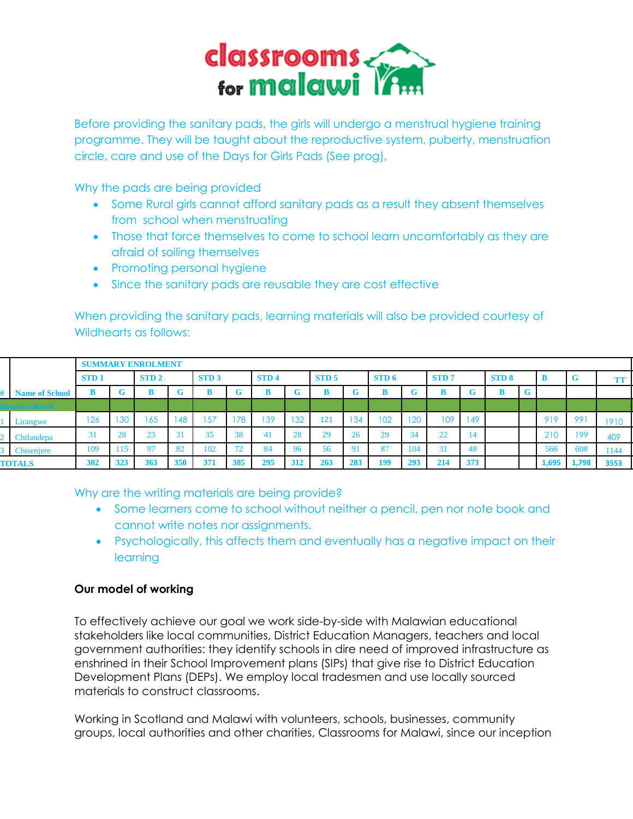

Before providing the sanitary pads, the girls will undergo a menstrual hygiene training programme. They will be taught about the reproductive system, puberty, menstruation circle, care and use of the Days for Girls Pads (See prog),

Why the pads are being provided

- Some Rural girls cannot afford sanitary pads as a result they absent themselves from school when menstruating
- Those that force themselves to come to school learn uncomfortably as they are afraid of soiling themselves
- Promoting personal hygiene
- Since the sanitary pads are reusable they are cost effective

When providing the sanitary pads, learning materials will also be provided courtesy of Wildhearts as follows:

|                       | <b>SUMMARY ENROLMENT</b> |                |                  |          |             |          |                  |     |                  |     |       |     |                  |     |       |   |       |       |      |
|-----------------------|--------------------------|----------------|------------------|----------|-------------|----------|------------------|-----|------------------|-----|-------|-----|------------------|-----|-------|---|-------|-------|------|
|                       | STD <sub>1</sub>         |                | STD <sub>2</sub> |          | <b>STD3</b> |          | STD <sub>4</sub> |     | STD <sub>5</sub> |     | STD 6 |     | STD <sub>7</sub> |     | STD 8 |   | -n    |       |      |
| <b>Name of School</b> |                          | G.             |                  | <b>U</b> |             |          | B                |     | B                | G.  | B     | G.  |                  | G   | D     | G |       |       |      |
| lantyre Rural         |                          |                |                  |          |             |          |                  |     |                  |     |       |     |                  |     |       |   |       |       |      |
| Lirangwe              | 126                      | 130            | 165              | 148      | 157         | 178      | 139              | 132 | 121              | 134 | 102   | 120 | I UY             | 149 |       |   | 919   | 991   | 1910 |
| Chilandepa            | 31                       | $\Omega$<br>20 | $\sim$           | 31       | 35          | 38       | -41              | 28  | 29               | 26  | 29    | 34  | 22               | 14  |       |   | 210   | 199   | 409  |
| Chisenjere            | 109                      | 115            | Q <sub>7</sub>   | 82       | 102         | 72<br>72 | 84               | 96  | 56               | -91 | 87    | 104 |                  | 48  |       |   | 566   | 608   | 1144 |
| <b>TOTALS</b>         | 302                      | 323            | 363              | 350      | 371         | 385      | 295              | 312 | 263              | 283 | 199   | 293 | 214              | 373 |       |   | 1,695 | 1,798 | 3553 |
|                       |                          |                |                  |          |             |          |                  |     |                  |     |       |     |                  |     |       |   |       |       |      |

Why are the writing materials are being provide?

- Some learners come to school without neither a pencil, pen nor note book and cannot write notes nor assignments.
- Psychologically, this affects them and eventually has a negative impact on their learning

### **Our model of working**

To effectively achieve our goal we work side-by-side with Malawian educational stakeholders like local communities, District Education Managers, teachers and local government authorities: they identify schools in dire need of improved infrastructure as enshrined in their School Improvement plans (SIPs) that give rise to District Education Development Plans (DEPs). We employ local tradesmen and use locally sourced materials to construct classrooms.

Working in Scotland and Malawi with volunteers, schools, businesses, community groups, local authorities and other charities, Classrooms for Malawi, since our inception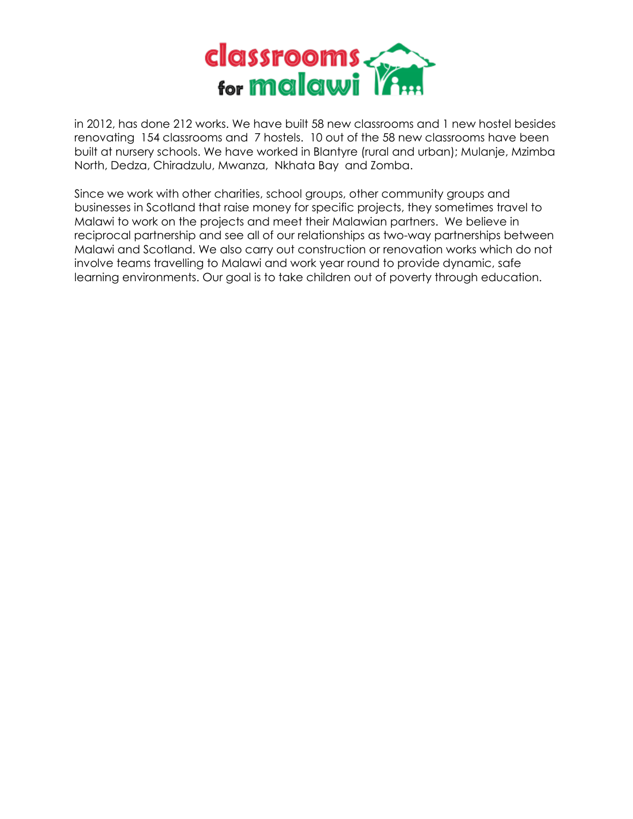

in 2012, has done 212 works. We have built 58 new classrooms and 1 new hostel besides renovating 154 classrooms and 7 hostels. 10 out of the 58 new classrooms have been built at nursery schools. We have worked in Blantyre (rural and urban); Mulanje, Mzimba North, Dedza, Chiradzulu, Mwanza, Nkhata Bay and Zomba.

Since we work with other charities, school groups, other community groups and businesses in Scotland that raise money for specific projects, they sometimes travel to Malawi to work on the projects and meet their Malawian partners. We believe in reciprocal partnership and see all of our relationships as two-way partnerships between Malawi and Scotland. We also carry out construction or renovation works which do not involve teams travelling to Malawi and work year round to provide dynamic, safe learning environments. Our goal is to take children out of poverty through education.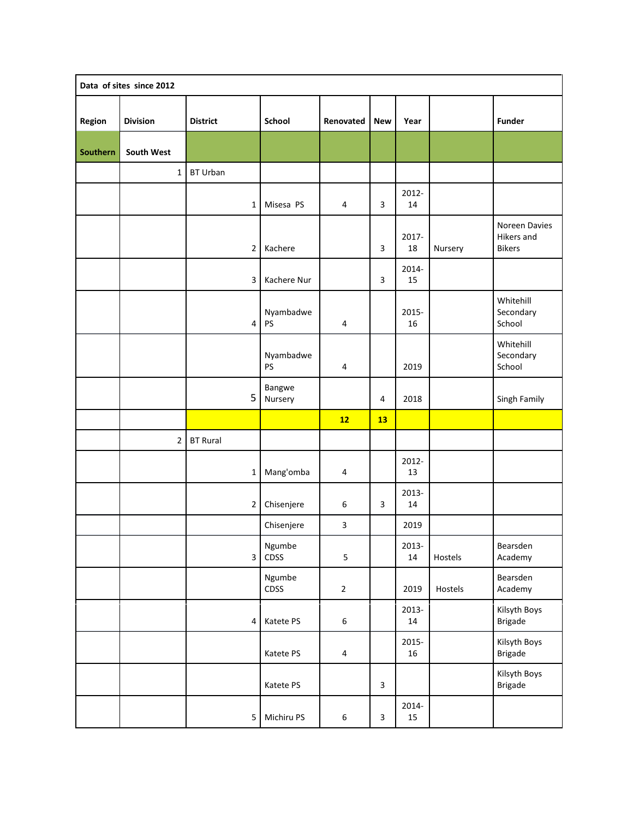| Data of sites since 2012 |                 |                 |                   |                         |                |                 |         |                                              |  |  |
|--------------------------|-----------------|-----------------|-------------------|-------------------------|----------------|-----------------|---------|----------------------------------------------|--|--|
| Region                   | <b>Division</b> | <b>District</b> | <b>School</b>     | Renovated               | <b>New</b>     | Year            |         | <b>Funder</b>                                |  |  |
| Southern                 | South West      |                 |                   |                         |                |                 |         |                                              |  |  |
|                          | $\mathbf{1}$    | <b>BT Urban</b> |                   |                         |                |                 |         |                                              |  |  |
|                          |                 | $\mathbf 1$     | Misesa PS         | 4                       | 3              | 2012-<br>14     |         |                                              |  |  |
|                          |                 | $\overline{2}$  | Kachere           |                         | 3              | 2017-<br>18     | Nursery | Noreen Davies<br>Hikers and<br><b>Bikers</b> |  |  |
|                          |                 | 3               | Kachere Nur       |                         | 3              | 2014-<br>15     |         |                                              |  |  |
|                          |                 | $\pmb{4}$       | Nyambadwe<br>PS   | 4                       |                | 2015-<br>16     |         | Whitehill<br>Secondary<br>School             |  |  |
|                          |                 |                 | Nyambadwe<br>PS   | 4                       |                | 2019            |         | Whitehill<br>Secondary<br>School             |  |  |
|                          |                 | 5               | Bangwe<br>Nursery |                         | 4              | 2018            |         | Singh Family                                 |  |  |
|                          |                 |                 |                   | 12                      | 13             |                 |         |                                              |  |  |
|                          | $\overline{2}$  | <b>BT Rural</b> |                   |                         |                |                 |         |                                              |  |  |
|                          |                 | $\mathbf{1}$    | Mang'omba         | $\overline{4}$          |                | 2012-<br>13     |         |                                              |  |  |
|                          |                 | $\overline{2}$  | Chisenjere        | 6                       | 3              | 2013-<br>14     |         |                                              |  |  |
|                          |                 |                 | Chisenjere        | $\overline{\mathbf{3}}$ |                | 2019            |         |                                              |  |  |
|                          |                 | $\overline{3}$  | Ngumbe<br>CDSS    | 5                       |                | 2013-<br>$14\,$ | Hostels | Bearsden<br>Academy                          |  |  |
|                          |                 |                 | Ngumbe<br>CDSS    | $\overline{2}$          |                | 2019            | Hostels | Bearsden<br>Academy                          |  |  |
|                          |                 | 4               | Katete PS         | 6                       |                | 2013-<br>$14\,$ |         | Kilsyth Boys<br><b>Brigade</b>               |  |  |
|                          |                 |                 | Katete PS         | $\pmb{4}$               |                | 2015-<br>16     |         | Kilsyth Boys<br><b>Brigade</b>               |  |  |
|                          |                 |                 | Katete PS         |                         | $\overline{3}$ |                 |         | Kilsyth Boys<br>Brigade                      |  |  |
|                          |                 | 5               | Michiru PS        | $\boldsymbol{6}$        | $\mathbf{3}$   | 2014-<br>15     |         |                                              |  |  |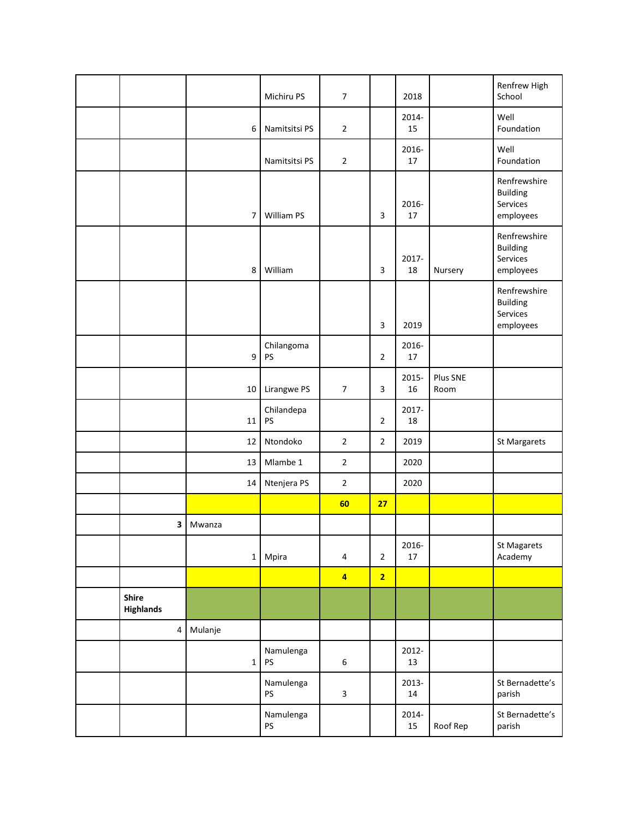|                    |                  | Michiru PS       | $\overline{7}$          |                | 2018            |                  | Renfrew High<br>School                                   |
|--------------------|------------------|------------------|-------------------------|----------------|-----------------|------------------|----------------------------------------------------------|
|                    | 6                | Namitsitsi PS    | $\mathbf 2$             |                | 2014-<br>15     |                  | Well<br>Foundation                                       |
|                    |                  | Namitsitsi PS    | $\mathbf 2$             |                | 2016-<br>$17\,$ |                  | Well<br>Foundation                                       |
|                    | $\overline{7}$   | William PS       |                         | 3              | 2016-<br>17     |                  | Renfrewshire<br><b>Building</b><br>Services<br>employees |
|                    | 8                | William          |                         | 3              | 2017-<br>18     | Nursery          | Renfrewshire<br><b>Building</b><br>Services<br>employees |
|                    |                  |                  |                         | 3              | 2019            |                  | Renfrewshire<br><b>Building</b><br>Services<br>employees |
|                    | $\boldsymbol{9}$ | Chilangoma<br>PS |                         | $\overline{2}$ | 2016-<br>17     |                  |                                                          |
|                    | 10               | Lirangwe PS      | $\overline{7}$          | 3              | 2015-<br>16     | Plus SNE<br>Room |                                                          |
|                    | 11               | Chilandepa<br>PS |                         | $\overline{2}$ | 2017-<br>18     |                  |                                                          |
|                    | 12               | Ntondoko         | $\mathbf 2$             | $\overline{2}$ | 2019            |                  | St Margarets                                             |
|                    | 13               | Mlambe 1         | $\overline{2}$          |                | 2020            |                  |                                                          |
|                    | 14               | Ntenjera PS      | $\overline{2}$          |                | 2020            |                  |                                                          |
|                    |                  |                  | 60                      | 27             |                 |                  |                                                          |
| 3                  | Mwanza           |                  |                         |                |                 |                  |                                                          |
|                    | $1\vert$         | Mpira            | 4                       | $\overline{2}$ | 2016-<br>$17\,$ |                  | St Magarets<br>Academy                                   |
|                    |                  |                  | $\overline{\mathbf{4}}$ | $\overline{2}$ |                 |                  |                                                          |
| Shire<br>Highlands |                  |                  |                         |                |                 |                  |                                                          |
| $\overline{4}$     | Mulanje          |                  |                         |                |                 |                  |                                                          |
|                    | $\mathbf 1$      | Namulenga<br>PS  | $\boldsymbol{6}$        |                | 2012-<br>13     |                  |                                                          |
|                    |                  | Namulenga<br>PS  | $\mathbf{3}$            |                | 2013-<br>$14\,$ |                  | St Bernadette's<br>parish                                |
|                    |                  | Namulenga<br>PS  |                         |                | 2014-<br>15     | Roof Rep         | St Bernadette's<br>parish                                |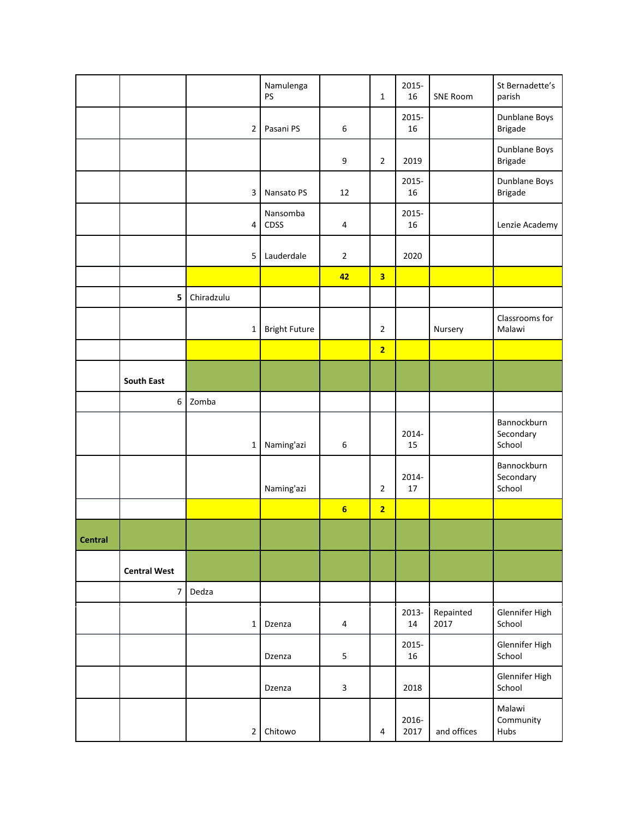|                |                     |                         | Namulenga<br>PS      |                         | $\mathbf{1}$            | 2015-<br>16   | <b>SNE Room</b>   | St Bernadette's<br>parish          |
|----------------|---------------------|-------------------------|----------------------|-------------------------|-------------------------|---------------|-------------------|------------------------------------|
|                |                     | $\overline{2}$          | Pasani PS            | 6                       |                         | 2015-<br>16   |                   | Dunblane Boys<br><b>Brigade</b>    |
|                |                     |                         |                      | 9                       | $\overline{2}$          | 2019          |                   | Dunblane Boys<br><b>Brigade</b>    |
|                |                     | $\overline{3}$          | Nansato PS           | 12                      |                         | 2015-<br>16   |                   | Dunblane Boys<br><b>Brigade</b>    |
|                |                     | $\overline{\mathbf{4}}$ | Nansomba<br>CDSS     | $\overline{4}$          |                         | 2015-<br>16   |                   | Lenzie Academy                     |
|                |                     | $\overline{5}$          | Lauderdale           | $\mathbf 2$             |                         | 2020          |                   |                                    |
|                |                     |                         |                      | 42                      | $\overline{\mathbf{3}}$ |               |                   |                                    |
|                | 5                   | Chiradzulu              |                      |                         |                         |               |                   |                                    |
|                |                     | $\mathbf 1$             | <b>Bright Future</b> |                         | $\overline{2}$          |               | Nursery           | Classrooms for<br>Malawi           |
|                |                     |                         |                      |                         | $\overline{2}$          |               |                   |                                    |
|                | <b>South East</b>   |                         |                      |                         |                         |               |                   |                                    |
|                | 6 <sup>1</sup>      | Zomba                   |                      |                         |                         |               |                   |                                    |
|                |                     | $\mathbf{1}$            | Naming'azi           | 6                       |                         | 2014-<br>15   |                   | Bannockburn<br>Secondary<br>School |
|                |                     |                         | Naming'azi           |                         | $\overline{2}$          | 2014-<br>17   |                   | Bannockburn<br>Secondary<br>School |
|                |                     |                         |                      | $6\phantom{1}$          | $\overline{2}$          |               |                   |                                    |
| <b>Central</b> |                     |                         |                      |                         |                         |               |                   |                                    |
|                | <b>Central West</b> |                         |                      |                         |                         |               |                   |                                    |
|                | $\overline{7}$      | Dedza                   |                      |                         |                         |               |                   |                                    |
|                |                     | $\mathbf{1}$            | Dzenza               | 4                       |                         | 2013-<br>14   | Repainted<br>2017 | Glennifer High<br>School           |
|                |                     |                         | Dzenza               | 5                       |                         | 2015-<br>16   |                   | Glennifer High<br>School           |
|                |                     |                         | Dzenza               | $\overline{\mathbf{3}}$ |                         | 2018          |                   | Glennifer High<br>School           |
|                |                     | $\mathbf 2$             | Chitowo              |                         | $\overline{4}$          | 2016-<br>2017 | and offices       | Malawi<br>Community<br>Hubs        |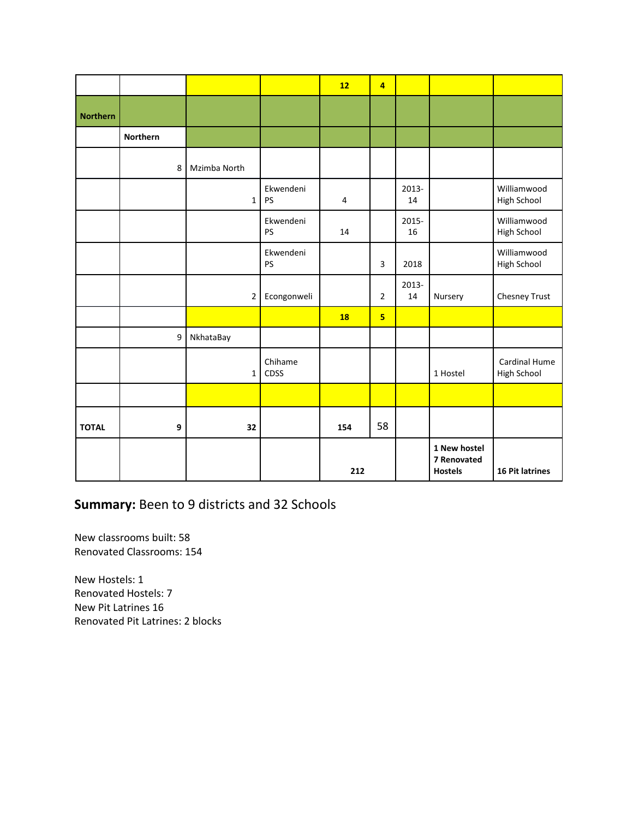|                 |          |                |                 | 12        | $\overline{4}$          |             |                                               |                                   |
|-----------------|----------|----------------|-----------------|-----------|-------------------------|-------------|-----------------------------------------------|-----------------------------------|
| <b>Northern</b> |          |                |                 |           |                         |             |                                               |                                   |
|                 | Northern |                |                 |           |                         |             |                                               |                                   |
|                 | 8        | Mzimba North   |                 |           |                         |             |                                               |                                   |
|                 |          | $\mathbf{1}$   | Ekwendeni<br>PS | 4         |                         | 2013-<br>14 |                                               | Williamwood<br>High School        |
|                 |          |                | Ekwendeni<br>PS | 14        |                         | 2015-<br>16 |                                               | Williamwood<br><b>High School</b> |
|                 |          |                | Ekwendeni<br>PS |           | 3                       | 2018        |                                               | Williamwood<br>High School        |
|                 |          | $\overline{2}$ | Econgonweli     |           | $\overline{2}$          | 2013-<br>14 | Nursery                                       | Chesney Trust                     |
|                 |          |                |                 | <b>18</b> | $\overline{\mathbf{5}}$ |             |                                               |                                   |
|                 | 9        | NkhataBay      |                 |           |                         |             |                                               |                                   |
|                 |          | $\mathbf{1}$   | Chihame<br>CDSS |           |                         |             | 1 Hostel                                      | Cardinal Hume<br>High School      |
|                 |          |                |                 |           |                         |             |                                               |                                   |
| <b>TOTAL</b>    | 9        | 32             |                 | 154       | 58                      |             |                                               |                                   |
|                 |          |                |                 | 212       |                         |             | 1 New hostel<br>7 Renovated<br><b>Hostels</b> | 16 Pit latrines                   |

# **Summary:** Been to 9 districts and 32 Schools

New classrooms built: 58 Renovated Classrooms: 154

New Hostels: 1 Renovated Hostels: 7 New Pit Latrines 16 Renovated Pit Latrines: 2 blocks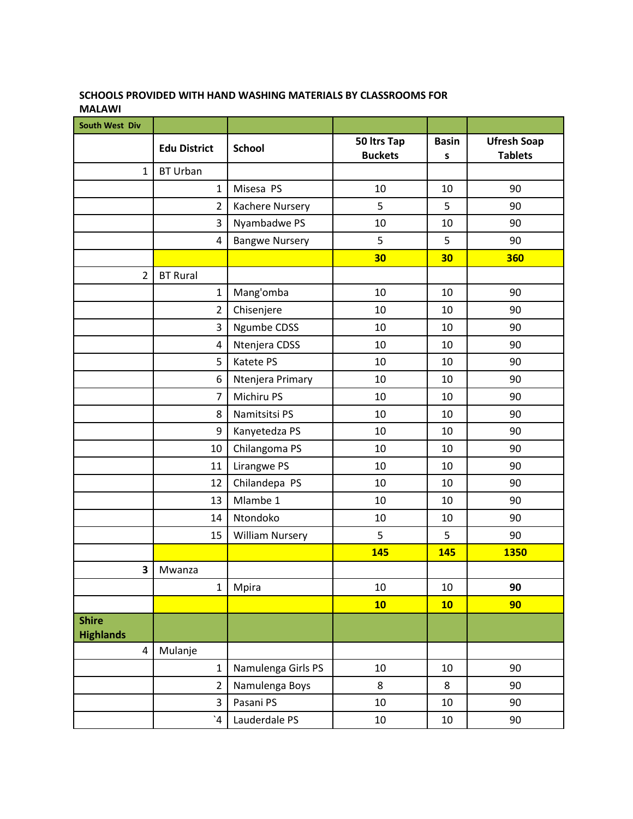#### **SCHOOLS PROVIDED WITH HAND WASHING MATERIALS BY CLASSROOMS FOR MALAWI**

| South West Div                   |                       |                        |                               |                   |                                      |
|----------------------------------|-----------------------|------------------------|-------------------------------|-------------------|--------------------------------------|
|                                  | <b>Edu District</b>   | <b>School</b>          | 50 ltrs Tap<br><b>Buckets</b> | <b>Basin</b><br>S | <b>Ufresh Soap</b><br><b>Tablets</b> |
| $\mathbf{1}$                     | <b>BT Urban</b>       |                        |                               |                   |                                      |
|                                  | $\mathbf{1}$          | Misesa PS              | 10                            | 10                | 90                                   |
|                                  | $\overline{2}$        | Kachere Nursery        | 5                             | 5                 | 90                                   |
|                                  | 3                     | Nyambadwe PS           | 10                            | 10                | 90                                   |
|                                  | 4                     | <b>Bangwe Nursery</b>  | 5                             | 5                 | 90                                   |
|                                  |                       |                        | 30                            | 30                | 360                                  |
| $\overline{2}$                   | <b>BT Rural</b>       |                        |                               |                   |                                      |
|                                  | $\mathbf 1$           | Mang'omba              | 10                            | 10                | 90                                   |
|                                  | $\mathbf 2$           | Chisenjere             | 10                            | 10                | 90                                   |
|                                  | 3                     | Ngumbe CDSS            | 10                            | 10                | 90                                   |
|                                  | 4                     | Ntenjera CDSS          | 10                            | 10                | 90                                   |
|                                  | 5                     | Katete PS              | 10                            | 10                | 90                                   |
|                                  | 6                     | Ntenjera Primary       | 10                            | 10                | 90                                   |
|                                  | $\overline{7}$        | Michiru PS             | 10                            | 10                | 90                                   |
|                                  | 8                     | Namitsitsi PS          | 10                            | 10                | 90                                   |
|                                  | 9                     | Kanyetedza PS          | 10                            | 10                | 90                                   |
|                                  | 10                    | Chilangoma PS          | 10                            | 10                | 90                                   |
|                                  | 11                    | Lirangwe PS            | 10                            | 10                | 90                                   |
|                                  | 12                    | Chilandepa PS          | 10                            | 10                | 90                                   |
|                                  | 13                    | Mlambe 1               | 10                            | 10                | 90                                   |
|                                  | 14                    | Ntondoko               | 10                            | 10                | 90                                   |
|                                  | 15                    | <b>William Nursery</b> | 5                             | 5                 | 90                                   |
|                                  |                       |                        | 145                           | 145               | <b>1350</b>                          |
| 3                                | Mwanza                |                        |                               |                   |                                      |
|                                  | $\mathbf{1}$          | Mpira                  | 10                            | 10                | 90                                   |
|                                  |                       |                        | 10                            | 10                | 90                                   |
| <b>Shire</b><br><b>Highlands</b> |                       |                        |                               |                   |                                      |
| 4                                | Mulanje               |                        |                               |                   |                                      |
|                                  | $\mathbf{1}$          | Namulenga Girls PS     | 10                            | 10                | 90                                   |
|                                  | $\overline{2}$        | Namulenga Boys         | 8                             | 8                 | 90                                   |
|                                  | 3                     | Pasani PS              | 10                            | 10                | 90                                   |
|                                  | $\mathbf{A}^{\prime}$ | Lauderdale PS          | 10                            | 10                | 90                                   |